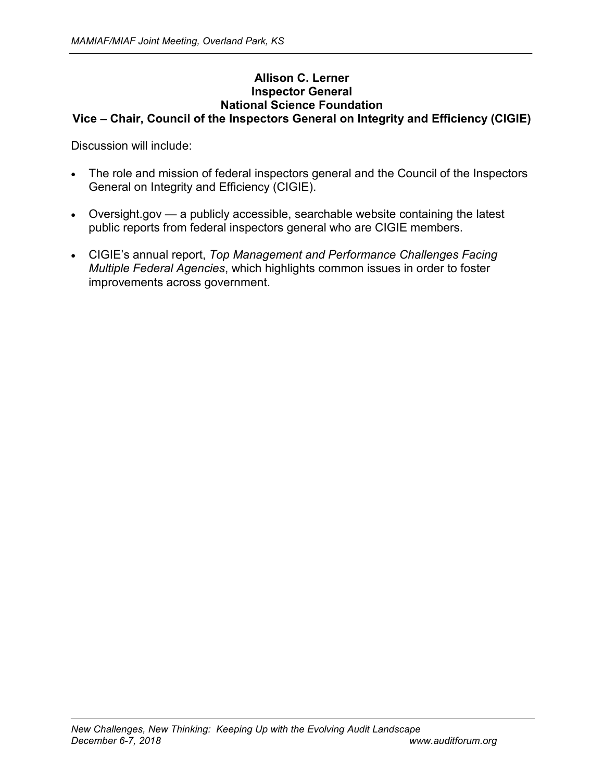#### **Allison C. Lerner Inspector General National Science Foundation Vice – Chair, Council of the Inspectors General on Integrity and Efficiency (CIGIE)**

Discussion will include:

- The role and mission of federal inspectors general and the Council of the Inspectors General on Integrity and Efficiency (CIGIE).
- Oversight.gov a publicly accessible, searchable website containing the latest public reports from federal inspectors general who are CIGIE members.
- CIGIE's annual report, *Top Management and Performance Challenges Facing Multiple Federal Agencies*, which highlights common issues in order to foster improvements across government.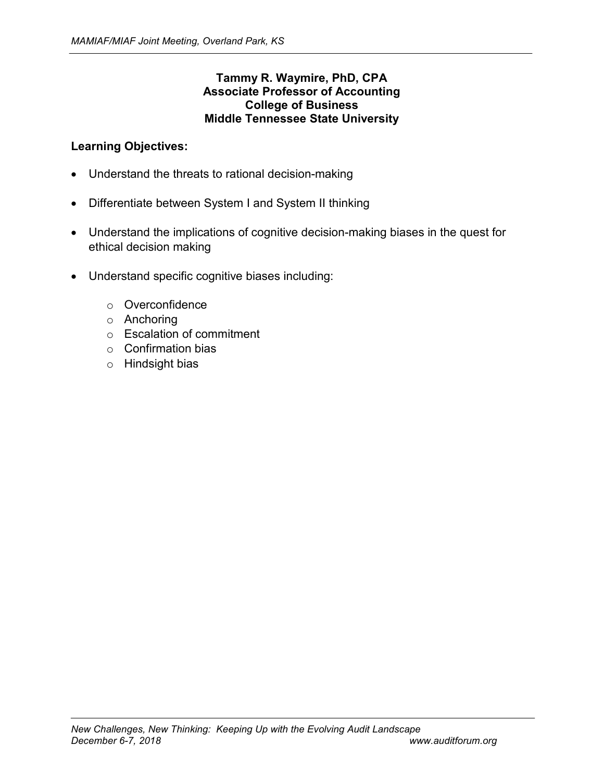## **Tammy R. Waymire, PhD, CPA Associate Professor of Accounting College of Business Middle Tennessee State University**

# **Learning Objectives:**

- Understand the threats to rational decision-making
- Differentiate between System I and System II thinking
- Understand the implications of cognitive decision-making biases in the quest for ethical decision making
- Understand specific cognitive biases including:
	- o Overconfidence
	- o Anchoring
	- o Escalation of commitment
	- o Confirmation bias
	- o Hindsight bias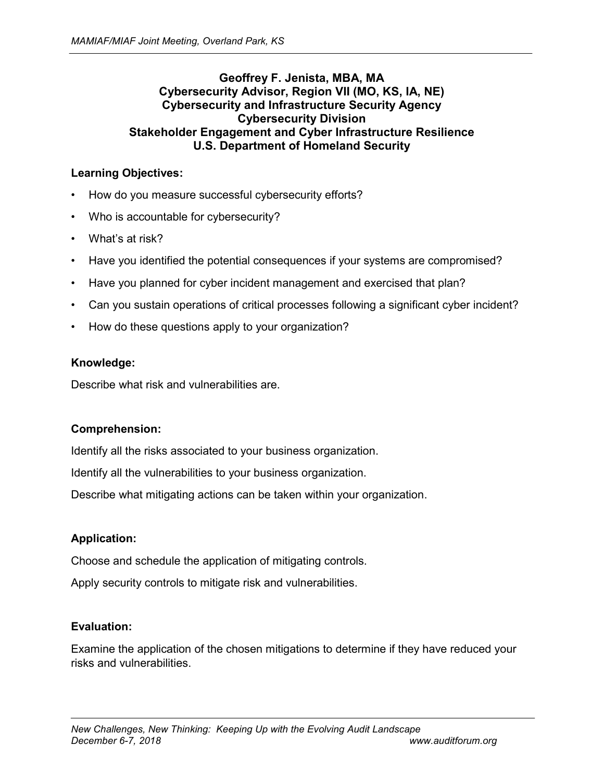## **Geoffrey F. Jenista, MBA, MA Cybersecurity Advisor, Region VII (MO, KS, IA, NE) Cybersecurity and Infrastructure Security Agency Cybersecurity Division Stakeholder Engagement and Cyber Infrastructure Resilience U.S. Department of Homeland Security**

## **Learning Objectives:**

- How do you measure successful cybersecurity efforts?
- Who is accountable for cybersecurity?
- What's at risk?
- Have you identified the potential consequences if your systems are compromised?
- Have you planned for cyber incident management and exercised that plan?
- Can you sustain operations of critical processes following a significant cyber incident?
- How do these questions apply to your organization?

### **Knowledge:**

Describe what risk and vulnerabilities are.

### **Comprehension:**

Identify all the risks associated to your business organization.

Identify all the vulnerabilities to your business organization.

Describe what mitigating actions can be taken within your organization.

### **Application:**

Choose and schedule the application of mitigating controls.

Apply security controls to mitigate risk and vulnerabilities.

### **Evaluation:**

Examine the application of the chosen mitigations to determine if they have reduced your risks and vulnerabilities.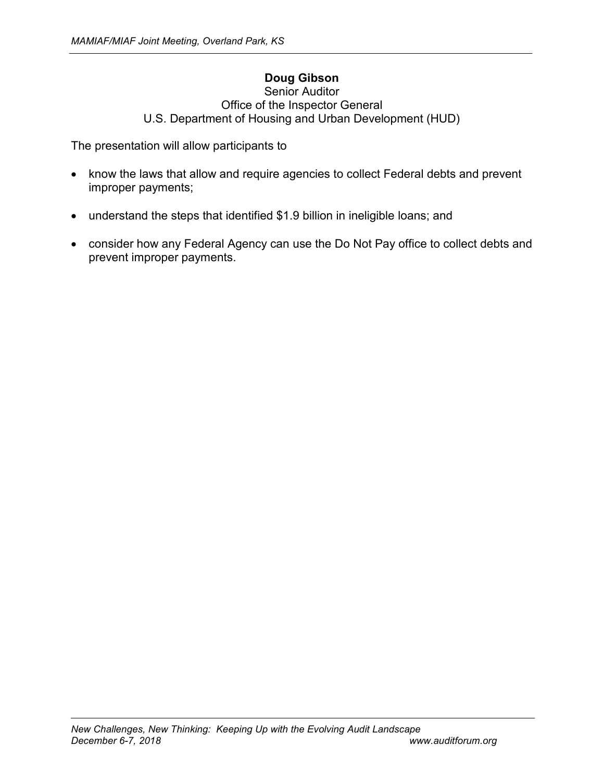# **Doug Gibson**

### Senior Auditor Office of the Inspector General U.S. Department of Housing and Urban Development (HUD)

The presentation will allow participants to

- know the laws that allow and require agencies to collect Federal debts and prevent improper payments;
- understand the steps that identified \$1.9 billion in ineligible loans; and
- consider how any Federal Agency can use the Do Not Pay office to collect debts and prevent improper payments.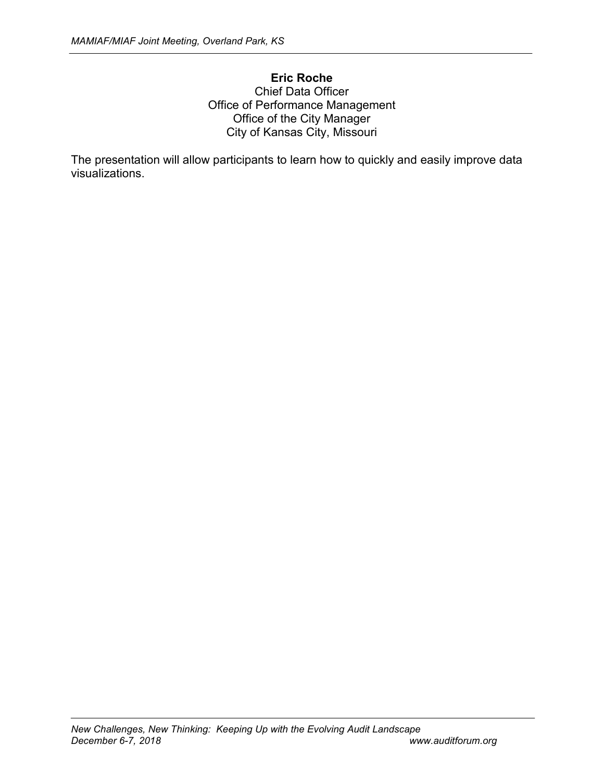## **Eric Roche** Chief Data Officer Office of Performance Management Office of the City Manager City of Kansas City, Missouri

The presentation will allow participants to learn how to quickly and easily improve data visualizations.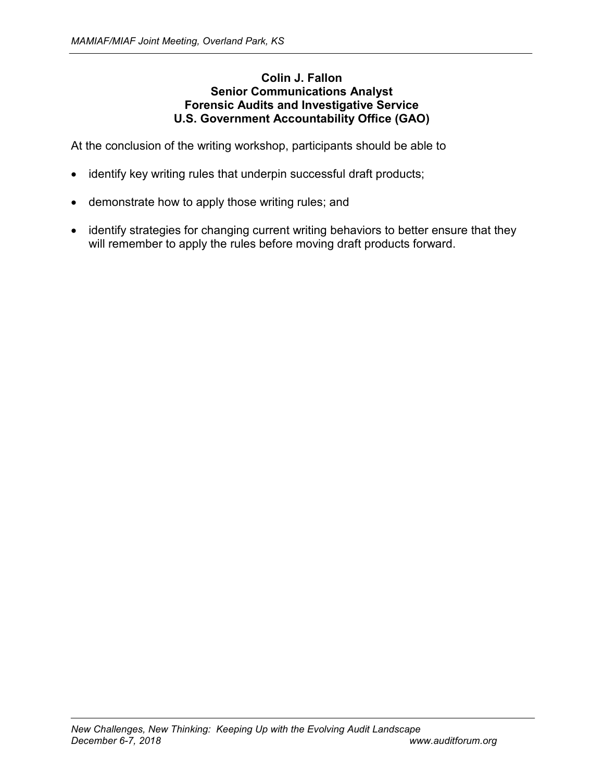## **Colin J. Fallon Senior Communications Analyst Forensic Audits and Investigative Service U.S. Government Accountability Office (GAO)**

At the conclusion of the writing workshop, participants should be able to

- identify key writing rules that underpin successful draft products;
- demonstrate how to apply those writing rules; and
- identify strategies for changing current writing behaviors to better ensure that they will remember to apply the rules before moving draft products forward.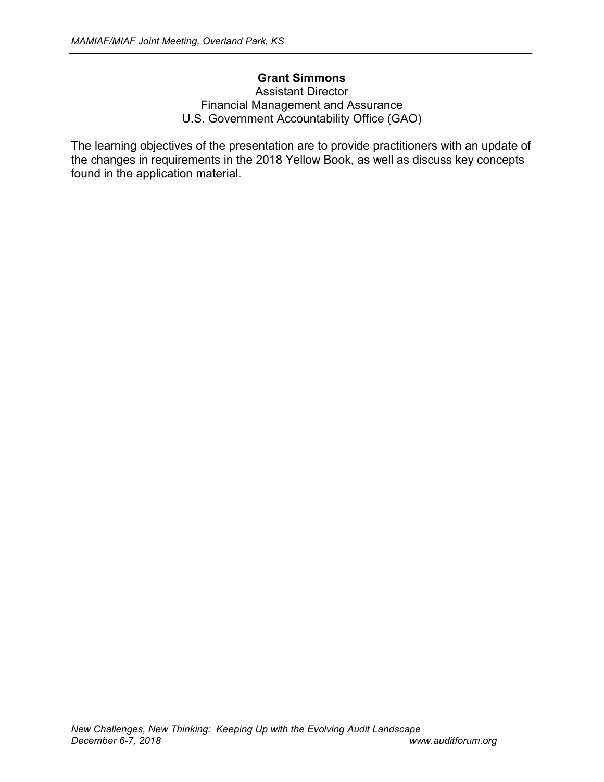# **Grant Simmons**

Assistant Director Financial Management and Assurance U.S. Government Accountability Office (GAO)

The learning objectives of the presentation are to provide practitioners with an update of the changes in requirements in the 2018 Yellow Book, as well as discuss key concepts found in the application material.